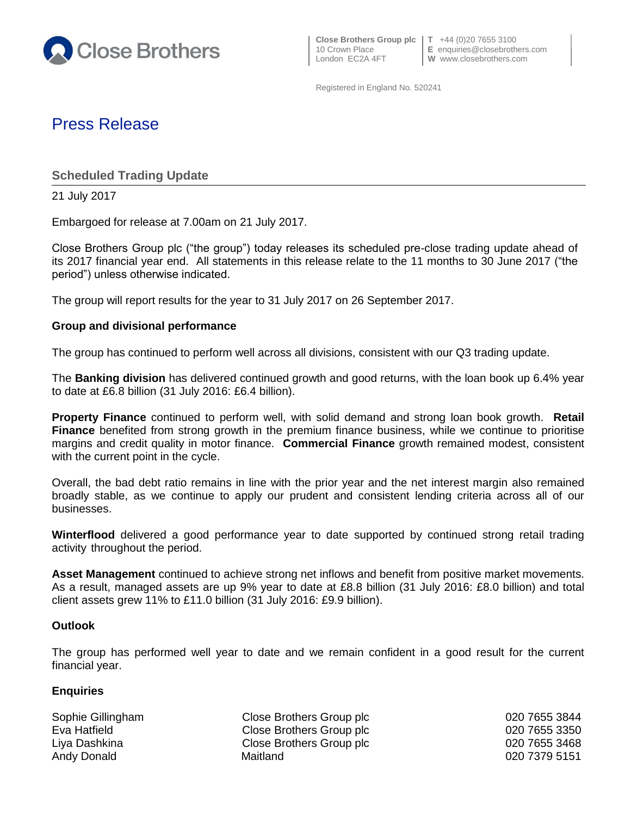

Registered in England No. 520241

# Press Release

**Scheduled Trading Update**

21 July 2017

Embargoed for release at 7.00am on 21 July 2017.

Close Brothers Group plc ("the group") today releases its scheduled pre-close trading update ahead of its 2017 financial year end. All statements in this release relate to the 11 months to 30 June 2017 ("the period") unless otherwise indicated.

The group will report results for the year to 31 July 2017 on 26 September 2017.

### **Group and divisional performance**

The group has continued to perform well across all divisions, consistent with our Q3 trading update.

The **Banking division** has delivered continued growth and good returns, with the loan book up 6.4% year to date at £6.8 billion (31 July 2016: £6.4 billion).

**Property Finance** continued to perform well, with solid demand and strong loan book growth. **Retail Finance** benefited from strong growth in the premium finance business, while we continue to prioritise margins and credit quality in motor finance. **Commercial Finance** growth remained modest, consistent with the current point in the cycle.

Overall, the bad debt ratio remains in line with the prior year and the net interest margin also remained broadly stable, as we continue to apply our prudent and consistent lending criteria across all of our businesses.

**Winterflood** delivered a good performance year to date supported by continued strong retail trading activity throughout the period.

**Asset Management** continued to achieve strong net inflows and benefit from positive market movements. As a result, managed assets are up 9% year to date at £8.8 billion (31 July 2016: £8.0 billion) and total client assets grew 11% to £11.0 billion (31 July 2016: £9.9 billion).

### **Outlook**

The group has performed well year to date and we remain confident in a good result for the current financial year.

### **Enquiries**

Sophie Gillingham Close Brothers Group plc 020 7655 3844 Eva Hatfield **Close Brothers Group plc** 020 7655 3350 Liya Dashkina Close Brothers Group plc 020 7655 3468 Andy Donald **Maitland** Maitland **Maitland** 620 7379 5151